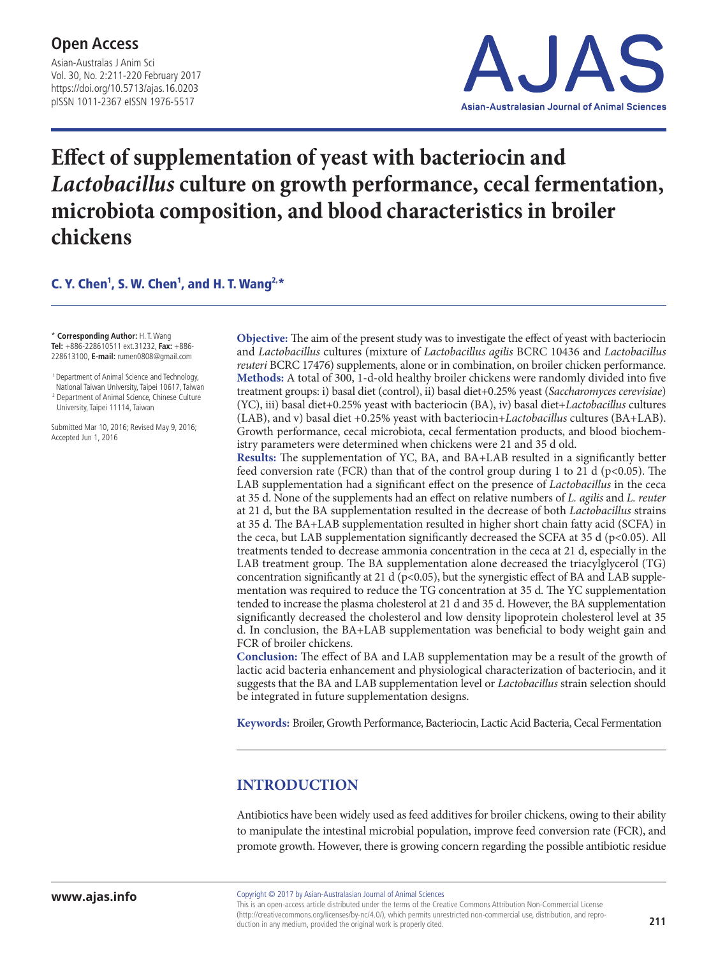Asian-Australas J Anim Sci Vol. 30, No. 2:211-220 February 2017 https://doi.org/10.5713/ajas.16.0203 pISSN 1011-2367 eISSN 1976-5517



# **Effect of supplementation of yeast with bacteriocin and**  *Lactobacillus* **culture on growth performance, cecal fermentation, microbiota composition, and blood characteristics in broiler chickens**

# C. Y. Chen<sup>1</sup>, S. W. Chen<sup>1</sup>, and H. T. Wang<sup>2,\*</sup>

\* **Corresponding Author:** H. T. Wang **Tel:** +886-228610511 ext.31232, **Fax:** +886- 228613100, **E-mail:** rumen0808@gmail.com

 1 Department of Animal Science and Technology, National Taiwan University, Taipei 10617, Taiwan <sup>2</sup> Department of Animal Science, Chinese Culture University, Taipei 11114, Taiwan

Submitted Mar 10, 2016; Revised May 9, 2016; Accepted Jun 1, 2016

**Objective:** The aim of the present study was to investigate the effect of yeast with bacteriocin and *Lactobacillus* cultures (mixture of *Lactobacillus agilis* BCRC 10436 and *Lactobacillus reuteri* BCRC 17476) supplements, alone or in combination, on broiler chicken performance. **Methods:** A total of 300, 1-d-old healthy broiler chickens were randomly divided into five treatment groups: i) basal diet (control), ii) basal diet+0.25% yeast (*Saccharomyces cerevisiae*) (YC), iii) basal diet+0.25% yeast with bacteriocin (BA), iv) basal diet+*Lactobacillus* cultures (LAB), and v) basal diet +0.25% yeast with bacteriocin+*Lactobacillus* cultures (BA+LAB). Growth performance, cecal microbiota, cecal fermentation products, and blood biochemistry parameters were determined when chickens were 21 and 35 d old.

**Results:** The supplementation of YC, BA, and BA+LAB resulted in a significantly better feed conversion rate (FCR) than that of the control group during 1 to 21 d ( $p<0.05$ ). The LAB supplementation had a significant effect on the presence of *Lactobacillus* in the ceca at 35 d. None of the supplements had an effect on relative numbers of *L. agilis* and *L. reuter* at 21 d, but the BA supplementation resulted in the decrease of both *Lactobacillus* strains at 35 d. The BA+LAB supplementation resulted in higher short chain fatty acid (SCFA) in the ceca, but LAB supplementation significantly decreased the SCFA at 35 d ( $p<0.05$ ). All treatments tended to decrease ammonia concentration in the ceca at 21 d, especially in the LAB treatment group. The BA supplementation alone decreased the triacylglycerol (TG) concentration significantly at 21 d ( $p<0.05$ ), but the synergistic effect of BA and LAB supplementation was required to reduce the TG concentration at 35 d. The YC supplementation tended to increase the plasma cholesterol at 21 d and 35 d. However, the BA supplementation significantly decreased the cholesterol and low density lipoprotein cholesterol level at 35 d. In conclusion, the BA+LAB supplementation was beneficial to body weight gain and FCR of broiler chickens.

**Conclusion:** The effect of BA and LAB supplementation may be a result of the growth of lactic acid bacteria enhancement and physiological characterization of bacteriocin, and it suggests that the BA and LAB supplementation level or *Lactobacillus* strain selection should be integrated in future supplementation designs.

**Keywords:** Broiler, Growth Performance, Bacteriocin, Lactic Acid Bacteria, Cecal Fermentation

# **INTRODUCTION**

Antibiotics have been widely used as feed additives for broiler chickens, owing to their ability to manipulate the intestinal microbial population, improve feed conversion rate (FCR), and promote growth. However, there is growing concern regarding the possible antibiotic residue

This is an open-access article distributed under the terms of the Creative Commons Attribution Non-Commercial License (http://creativecommons.org/licenses/by-nc/4.0/), which permits unrestricted non-commercial use, distribution, and reproduction in any medium, provided the original work is properly cited.

Copyright © 2017 by Asian-Australasian Journal of Animal Sciences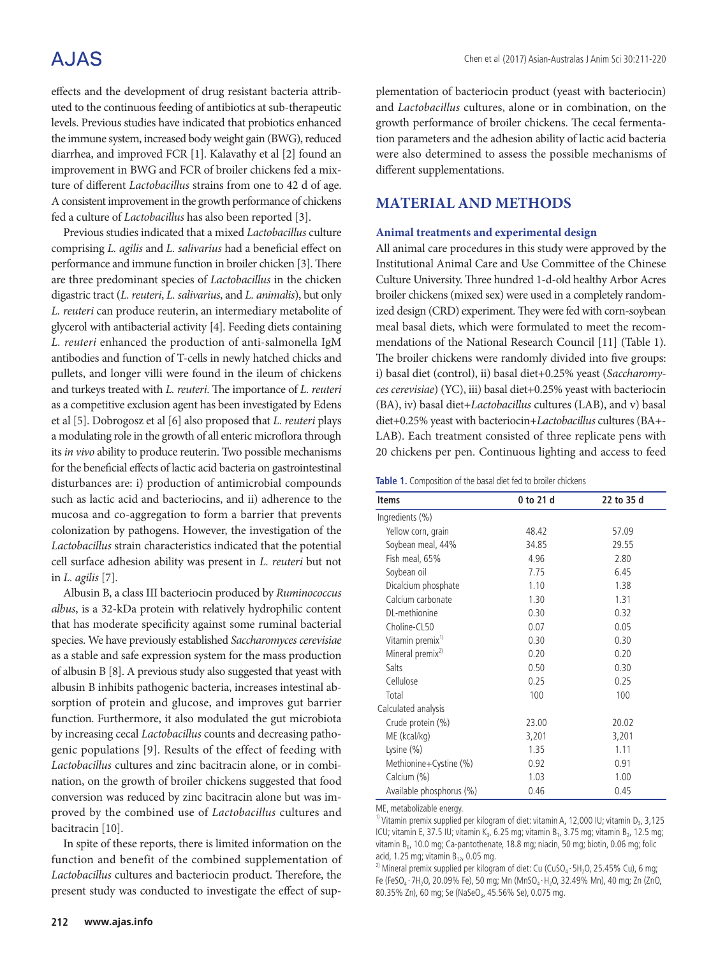# A.JAS

effects and the development of drug resistant bacteria attributed to the continuous feeding of antibiotics at sub-therapeutic levels. Previous studies have indicated that probiotics enhanced the immune system, increased body weight gain (BWG), reduced diarrhea, and improved FCR [1]. Kalavathy et al [2] found an improvement in BWG and FCR of broiler chickens fed a mixture of different *Lactobacillus* strains from one to 42 d of age. A consistent improvement in the growth performance of chickens fed a culture of *Lactobacillus* has also been reported [3].

Previous studies indicated that a mixed *Lactobacillus* culture comprising *L. agilis* and *L. salivarius* had a beneficial effect on performance and immune function in broiler chicken [3]. There are three predominant species of *Lactobacillus* in the chicken digastric tract (*L. reuteri*, *L. salivarius*, and *L. animalis*), but only *L. reuteri* can produce reuterin, an intermediary metabolite of glycerol with antibacterial activity [4]. Feeding diets containing *L. reuteri* enhanced the production of anti-salmonella IgM antibodies and function of T-cells in newly hatched chicks and pullets, and longer villi were found in the ileum of chickens and turkeys treated with *L. reuteri*. The importance of *L. reuteri* as a competitive exclusion agent has been investigated by Edens et al [5]. Dobrogosz et al [6] also proposed that *L. reuteri* plays a modulating role in the growth of all enteric microflora through its *in vivo* ability to produce reuterin. Two possible mechanisms for the beneficial effects of lactic acid bacteria on gastrointestinal disturbances are: i) production of antimicrobial compounds such as lactic acid and bacteriocins, and ii) adherence to the mucosa and co-aggregation to form a barrier that prevents colonization by pathogens. However, the investigation of the *Lactobacillus* strain characteristics indicated that the potential cell surface adhesion ability was present in *L. reuteri* but not in *L. agilis* [7].

Albusin B, a class III bacteriocin produced by *Ruminococcus albus*, is a 32-kDa protein with relatively hydrophilic content that has moderate specificity against some ruminal bacterial species. We have previously established *Saccharomyces cerevisiae* as a stable and safe expression system for the mass production of albusin B [8]. A previous study also suggested that yeast with albusin B inhibits pathogenic bacteria, increases intestinal absorption of protein and glucose, and improves gut barrier function. Furthermore, it also modulated the gut microbiota by increasing cecal *Lactobacillus* counts and decreasing pathogenic populations [9]. Results of the effect of feeding with *Lactobacillus* cultures and zinc bacitracin alone, or in combination, on the growth of broiler chickens suggested that food conversion was reduced by zinc bacitracin alone but was improved by the combined use of *Lactobacillus* cultures and bacitracin [10].

In spite of these reports, there is limited information on the function and benefit of the combined supplementation of *Lactobacillus* cultures and bacteriocin product. Therefore, the present study was conducted to investigate the effect of supplementation of bacteriocin product (yeast with bacteriocin) and *Lactobacillus* cultures, alone or in combination, on the growth performance of broiler chickens. The cecal fermentation parameters and the adhesion ability of lactic acid bacteria were also determined to assess the possible mechanisms of different supplementations.

# **MATERIAL AND METHODS**

#### **Animal treatments and experimental design**

All animal care procedures in this study were approved by the Institutional Animal Care and Use Committee of the Chinese Culture University. Three hundred 1-d-old healthy Arbor Acres broiler chickens (mixed sex) were used in a completely randomized design (CRD) experiment. They were fed with corn-soybean meal basal diets, which were formulated to meet the recommendations of the National Research Council [11] (Table 1). The broiler chickens were randomly divided into five groups: i) basal diet (control), ii) basal diet+0.25% yeast (*Saccharomyces cerevisiae*) (YC), iii) basal diet+0.25% yeast with bacteriocin (BA), iv) basal diet+*Lactobacillus* cultures (LAB), and v) basal diet+0.25% yeast with bacteriocin+*Lactobacillus* cultures (BA+- LAB). Each treatment consisted of three replicate pens with 20 chickens per pen. Continuous lighting and access to feed

|  | Table 1. Composition of the basal diet fed to broiler chickens |  |  |  |  |
|--|----------------------------------------------------------------|--|--|--|--|
|--|----------------------------------------------------------------|--|--|--|--|

| <b>Items</b>                 | 0 to 21 d | 22 to 35 d |
|------------------------------|-----------|------------|
| Ingredients (%)              |           |            |
| Yellow corn, grain           | 48.42     | 57.09      |
| Soybean meal, 44%            | 34.85     | 29.55      |
| Fish meal, 65%               | 4.96      | 2.80       |
| Soybean oil                  | 7.75      | 6.45       |
| Dicalcium phosphate          | 1.10      | 1.38       |
| Calcium carbonate            | 1.30      | 1.31       |
| DL-methionine                | 0.30      | 0.32       |
| Choline-CL50                 | 0.07      | 0.05       |
| Vitamin premix <sup>1)</sup> | 0.30      | 0.30       |
| Mineral premix <sup>2)</sup> | 0.20      | 0.20       |
| Salts                        | 0.50      | 0.30       |
| Cellulose                    | 0.25      | 0.25       |
| Total                        | 100       | 100        |
| Calculated analysis          |           |            |
| Crude protein (%)            | 23.00     | 20.02      |
| ME (kcal/kg)                 | 3,201     | 3,201      |
| Lysine $(\%)$                | 1.35      | 1.11       |
| Methionine+Cystine (%)       | 0.92      | 0.91       |
| Calcium (%)                  | 1.03      | 1.00       |
| Available phosphorus (%)     | 0.46      | 0.45       |

ME, metabolizable energy.

<sup>1)</sup> Vitamin premix supplied per kilogram of diet: vitamin A, 12,000 IU; vitamin D<sub>3</sub>, 3,125 ICU; vitamin E, 37.5 IU; vitamin K<sub>3</sub>, 6.25 mg; vitamin B<sub>1</sub>, 3.75 mg; vitamin B<sub>2</sub>, 12.5 mg; vitamin  $B_6$ , 10.0 mg; Ca-pantothenate, 18.8 mg; niacin, 50 mg; biotin, 0.06 mg; folic acid, 1.25 mg; vitamin  $B_{12}$ , 0.05 mg.

<sup>2)</sup> Mineral premix supplied per kilogram of diet: Cu (CuSO<sub>4</sub> · 5H<sub>2</sub>O, 25.45% Cu), 6 mg; Fe (FeSO<sub>4</sub> · 7H<sub>2</sub>O, 20.09% Fe), 50 mg; Mn (MnSO<sub>4</sub> · H<sub>2</sub>O, 32.49% Mn), 40 mg; Zn (ZnO, 80.35% Zn), 60 mg; Se (NaSeO<sub>3</sub>, 45.56% Se), 0.075 mg.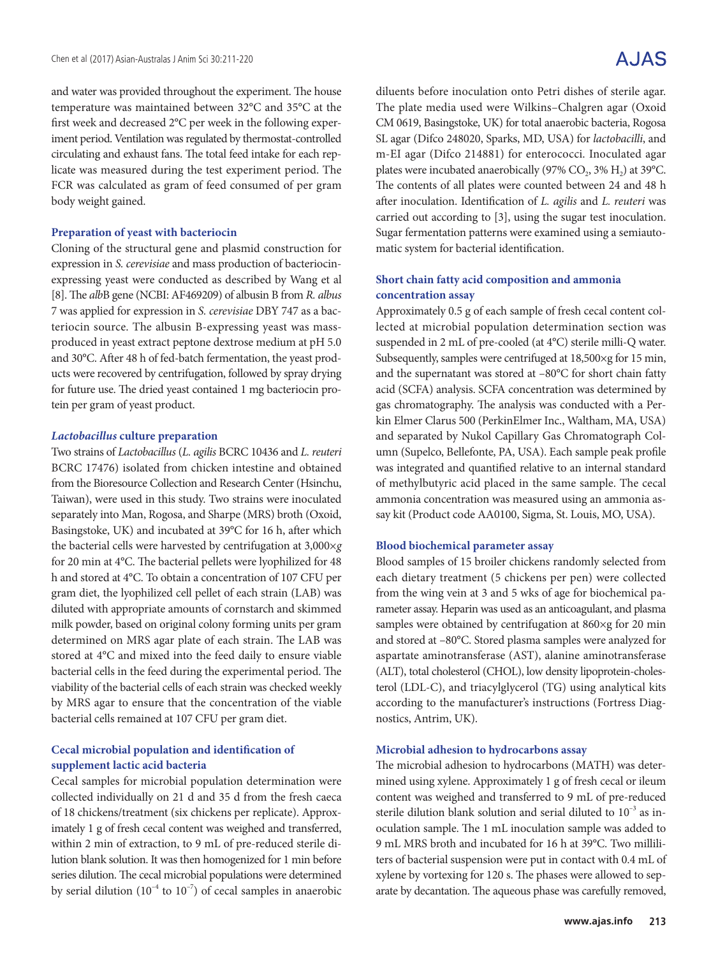and water was provided throughout the experiment. The house temperature was maintained between 32°C and 35°C at the first week and decreased 2°C per week in the following experiment period. Ventilation was regulated by thermostat-controlled circulating and exhaust fans. The total feed intake for each replicate was measured during the test experiment period. The FCR was calculated as gram of feed consumed of per gram body weight gained.

#### **Preparation of yeast with bacteriocin**

Cloning of the structural gene and plasmid construction for expression in *S. cerevisiae* and mass production of bacteriocinexpressing yeast were conducted as described by Wang et al [8]. The *alb*B gene (NCBI: AF469209) of albusin B from *R. albus* 7 was applied for expression in *S. cerevisiae* DBY 747 as a bacteriocin source. The albusin B-expressing yeast was massproduced in yeast extract peptone dextrose medium at pH 5.0 and 30°C. After 48 h of fed-batch fermentation, the yeast products were recovered by centrifugation, followed by spray drying for future use. The dried yeast contained 1 mg bacteriocin protein per gram of yeast product.

#### *Lactobacillus* **culture preparation**

Two strains of *Lactobacillus* (*L. agilis* BCRC 10436 and *L. reuteri* BCRC 17476) isolated from chicken intestine and obtained from the Bioresource Collection and Research Center (Hsinchu, Taiwan), were used in this study. Two strains were inoculated separately into Man, Rogosa, and Sharpe (MRS) broth (Oxoid, Basingstoke, UK) and incubated at 39°C for 16 h, after which the bacterial cells were harvested by centrifugation at 3,000×*g* for 20 min at 4°C. The bacterial pellets were lyophilized for 48 h and stored at 4°C. To obtain a concentration of 107 CFU per gram diet, the lyophilized cell pellet of each strain (LAB) was diluted with appropriate amounts of cornstarch and skimmed milk powder, based on original colony forming units per gram determined on MRS agar plate of each strain. The LAB was stored at 4°C and mixed into the feed daily to ensure viable bacterial cells in the feed during the experimental period. The viability of the bacterial cells of each strain was checked weekly by MRS agar to ensure that the concentration of the viable bacterial cells remained at 107 CFU per gram diet.

## **Cecal microbial population and identification of supplement lactic acid bacteria**

Cecal samples for microbial population determination were collected individually on 21 d and 35 d from the fresh caeca of 18 chickens/treatment (six chickens per replicate). Approximately 1 g of fresh cecal content was weighed and transferred, within 2 min of extraction, to 9 mL of pre-reduced sterile dilution blank solution. It was then homogenized for 1 min before series dilution. The cecal microbial populations were determined by serial dilution  $(10^{-4}$  to  $10^{-7})$  of cecal samples in anaerobic

diluents before inoculation onto Petri dishes of sterile agar. The plate media used were Wilkins–Chalgren agar (Oxoid CM 0619, Basingstoke, UK) for total anaerobic bacteria, Rogosa SL agar (Difco 248020, Sparks, MD, USA) for *lactobacilli*, and m-EI agar (Difco 214881) for enterococci. Inoculated agar plates were incubated anaerobically (97%  $CO_2$ , 3%  $H_2$ ) at 39°C. The contents of all plates were counted between 24 and 48 h after inoculation. Identification of *L. agilis* and *L. reuteri* was carried out according to [3], using the sugar test inoculation. Sugar fermentation patterns were examined using a semiautomatic system for bacterial identification.

## **Short chain fatty acid composition and ammonia concentration assay**

Approximately 0.5 g of each sample of fresh cecal content collected at microbial population determination section was suspended in 2 mL of pre-cooled (at 4°C) sterile milli-Q water. Subsequently, samples were centrifuged at 18,500×g for 15 min, and the supernatant was stored at –80°C for short chain fatty acid (SCFA) analysis. SCFA concentration was determined by gas chromatography. The analysis was conducted with a Perkin Elmer Clarus 500 (PerkinElmer Inc., Waltham, MA, USA) and separated by Nukol Capillary Gas Chromatograph Column (Supelco, Bellefonte, PA, USA). Each sample peak profile was integrated and quantified relative to an internal standard of methylbutyric acid placed in the same sample. The cecal ammonia concentration was measured using an ammonia assay kit (Product code AA0100, Sigma, St. Louis, MO, USA).

#### **Blood biochemical parameter assay**

Blood samples of 15 broiler chickens randomly selected from each dietary treatment (5 chickens per pen) were collected from the wing vein at 3 and 5 wks of age for biochemical parameter assay. Heparin was used as an anticoagulant, and plasma samples were obtained by centrifugation at 860×g for 20 min and stored at –80°C. Stored plasma samples were analyzed for aspartate aminotransferase (AST), alanine aminotransferase (ALT), total cholesterol (CHOL), low density lipoprotein-cholesterol (LDL-C), and triacylglycerol (TG) using analytical kits according to the manufacturer's instructions (Fortress Diagnostics, Antrim, UK).

#### **Microbial adhesion to hydrocarbons assay**

The microbial adhesion to hydrocarbons (MATH) was determined using xylene. Approximately 1 g of fresh cecal or ileum content was weighed and transferred to 9 mL of pre-reduced sterile dilution blank solution and serial diluted to  $10^{-3}$  as inoculation sample. The 1 mL inoculation sample was added to 9 mL MRS broth and incubated for 16 h at 39°C. Two milliliters of bacterial suspension were put in contact with 0.4 mL of xylene by vortexing for 120 s. The phases were allowed to separate by decantation. The aqueous phase was carefully removed,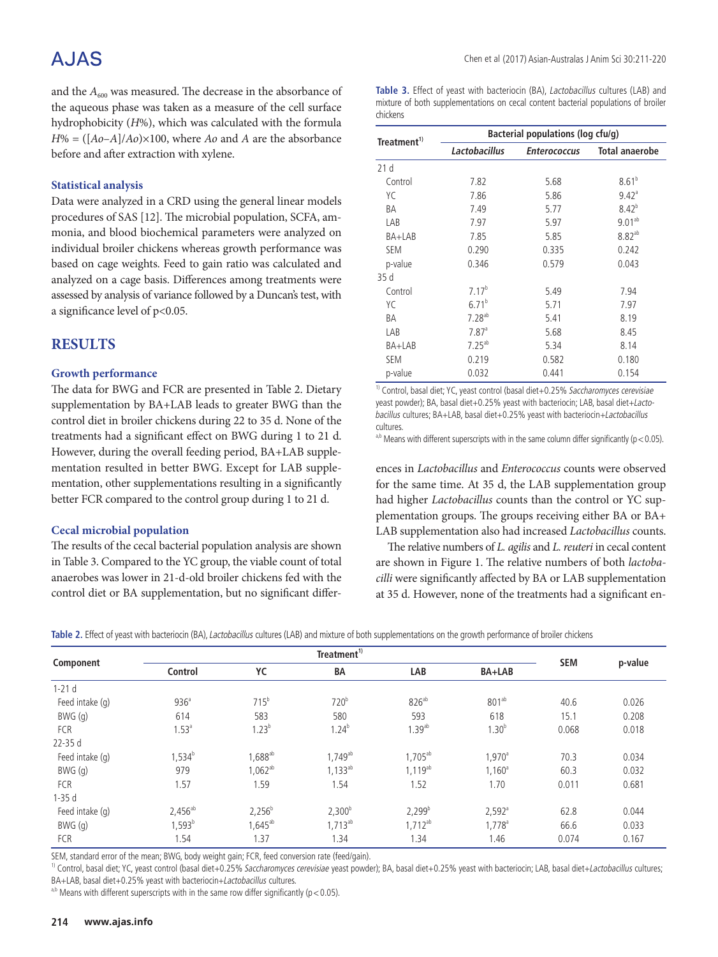# A.JAS

and the  $A_{600}$  was measured. The decrease in the absorbance of the aqueous phase was taken as a measure of the cell surface hydrophobicity (*H*%), which was calculated with the formula  $H% = (\frac{[A_0 - A]}{A_0}) \times 100$ , where *Ao* and *A* are the absorbance before and after extraction with xylene.

### **Statistical analysis**

Data were analyzed in a CRD using the general linear models procedures of SAS [12]. The microbial population, SCFA, ammonia, and blood biochemical parameters were analyzed on individual broiler chickens whereas growth performance was based on cage weights. Feed to gain ratio was calculated and analyzed on a cage basis. Differences among treatments were assessed by analysis of variance followed by a Duncan's test, with a significance level of p<0.05.

## **RESULTS**

### **Growth performance**

The data for BWG and FCR are presented in Table 2. Dietary supplementation by BA+LAB leads to greater BWG than the control diet in broiler chickens during 22 to 35 d. None of the treatments had a significant effect on BWG during 1 to 21 d. However, during the overall feeding period, BA+LAB supplementation resulted in better BWG. Except for LAB supplementation, other supplementations resulting in a significantly better FCR compared to the control group during 1 to 21 d.

## **Cecal microbial population**

The results of the cecal bacterial population analysis are shown in Table 3. Compared to the YC group, the viable count of total anaerobes was lower in 21-d-old broiler chickens fed with the control diet or BA supplementation, but no significant differ**Table 3.** Effect of yeast with bacteriocin (BA), Lactobacillus cultures (LAB) and mixture of both supplementations on cecal content bacterial populations of broiler chickens

| Treatment <sup>1)</sup> | Bacterial populations (log cfu/g) |                     |                       |  |  |  |  |
|-------------------------|-----------------------------------|---------------------|-----------------------|--|--|--|--|
|                         | Lactobacillus                     | <b>Enterococcus</b> | <b>Total anaerobe</b> |  |  |  |  |
| 21d                     |                                   |                     |                       |  |  |  |  |
| Control                 | 7.82                              | 5.68                | $8.61^{b}$            |  |  |  |  |
| YС                      | 7.86                              | 5.86                | $9.42$ <sup>a</sup>   |  |  |  |  |
| ΒA                      | 7.49                              | 5.77                | $8.42^{b}$            |  |  |  |  |
| LAB                     | 7.97                              | 5.97                | $9.01^{ab}$           |  |  |  |  |
| BA+LAB                  | 7.85                              | 5.85                | $8.82^{ab}$           |  |  |  |  |
| <b>SEM</b>              | 0.290                             | 0.335               | 0.242                 |  |  |  |  |
| p-value                 | 0.346                             | 0.579               | 0.043                 |  |  |  |  |
| 35 d                    |                                   |                     |                       |  |  |  |  |
| Control                 | $7.17^{b}$                        | 5.49                | 7.94                  |  |  |  |  |
| YC                      | $6.71^{b}$                        | 5.71                | 7.97                  |  |  |  |  |
| ΒA                      | $7.28^{ab}$                       | 5.41                | 8.19                  |  |  |  |  |
| LAB                     | $7.87$ <sup>a</sup>               | 5.68                | 8.45                  |  |  |  |  |
| BA+LAB                  | $7.25^{ab}$                       | 5.34                | 8.14                  |  |  |  |  |
| <b>SEM</b>              | 0.219                             | 0.582               | 0.180                 |  |  |  |  |
| p-value                 | 0.032                             | 0.441               | 0.154                 |  |  |  |  |

<sup>1)</sup> Control, basal diet; YC, yeast control (basal diet+0.25% Saccharomyces cerevisiae yeast powder); BA, basal diet+0.25% yeast with bacteriocin; LAB, basal diet+Lactobacillus cultures; BA+LAB, basal diet+0.25% yeast with bacteriocin+Lactobacillus cultures.

 $a$ ,b Means with different superscripts with in the same column differ significantly (p < 0.05).

ences in *Lactobacillus* and *Enterococcus* counts were observed for the same time. At 35 d, the LAB supplementation group had higher *Lactobacillus* counts than the control or YC supplementation groups. The groups receiving either BA or BA+ LAB supplementation also had increased *Lactobacillus* counts.

The relative numbers of *L. agilis* and *L. reuteri* in cecal content are shown in Figure 1. The relative numbers of both *lactobacilli* were significantly affected by BA or LAB supplementation at 35 d. However, none of the treatments had a significant en-

**Table 2.** Effect of yeast with bacteriocin (BA), Lactobacillus cultures (LAB) and mixture of both supplementations on the growth performance of broiler chickens

|                 | Treatment <sup>1)</sup> |                  |                  |                   |                    |            |         |
|-----------------|-------------------------|------------------|------------------|-------------------|--------------------|------------|---------|
| Component       | Control                 | YC               | <b>BA</b>        | LAB               | BA+LAB             | <b>SEM</b> | p-value |
| $1-21d$         |                         |                  |                  |                   |                    |            |         |
| Feed intake (q) | 936 <sup>a</sup>        | 715 <sup>b</sup> | 720 <sup>b</sup> | 826 <sup>ab</sup> | $801^{ab}$         | 40.6       | 0.026   |
| BWG (g)         | 614                     | 583              | 580              | 593               | 618                | 15.1       | 0.208   |
| <b>FCR</b>      | $1.53^{a}$              | $1.23^{b}$       | $1.24^{b}$       | $1.39^{ab}$       | $1.30^{b}$         | 0.068      | 0.018   |
| 22-35 d         |                         |                  |                  |                   |                    |            |         |
| Feed intake (q) | $1,534^b$               | $1,688^{ab}$     | $1,749^{ab}$     | $1,705^{ab}$      | $1,970^{\circ}$    | 70.3       | 0.034   |
| BWG (g)         | 979                     | $1,062^{ab}$     | $1,133^{ab}$     | $1,119^{ab}$      | 1.160 <sup>a</sup> | 60.3       | 0.032   |
| <b>FCR</b>      | 1.57                    | 1.59             | 1.54             | 1.52              | 1.70               | 0.011      | 0.681   |
| $1-35d$         |                         |                  |                  |                   |                    |            |         |
| Feed intake (q) | $2,456^{ab}$            | $2,256^b$        | $2,300^{b}$      | $2,299^{b}$       | $2,592^{\circ}$    | 62.8       | 0.044   |
| BWG (g)         | $1,593^b$               | $1,645^{ab}$     | $1,713^{ab}$     | $1,712^{ab}$      | $1,778^{\circ}$    | 66.6       | 0.033   |
| FCR             | 1.54                    | 1.37             | 1.34             | 1.34              | 1.46               | 0.074      | 0.167   |

SEM, standard error of the mean; BWG, body weight gain; FCR, feed conversion rate (feed/gain).

<sup>1)</sup> Control, basal diet; YC, yeast control (basal diet+0.25% Saccharomyces cerevisiae yeast powder); BA, basal diet+0.25% yeast with bacteriocin; LAB, basal diet+Lactobacillus cultures; BA+LAB, basal diet+0.25% yeast with bacteriocin+Lactobacillus cultures.

<sup>a,b</sup> Means with different superscripts with in the same row differ significantly ( $p < 0.05$ ).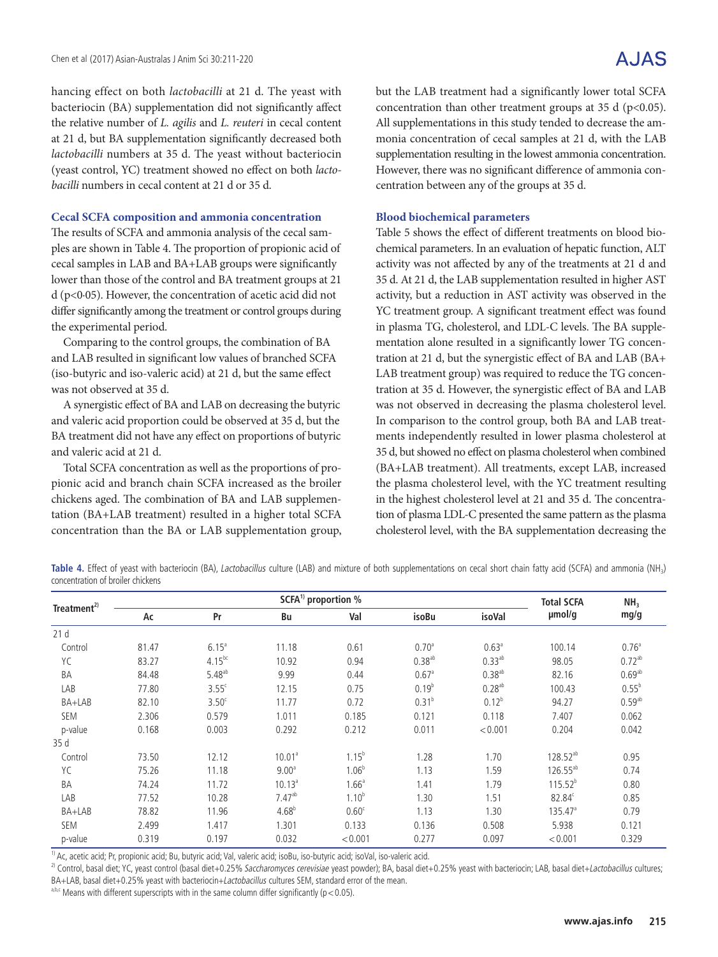hancing effect on both *lactobacilli* at 21 d. The yeast with bacteriocin (BA) supplementation did not significantly affect the relative number of *L. agilis* and *L. reuteri* in cecal content at 21 d, but BA supplementation significantly decreased both *lactobacilli* numbers at 35 d. The yeast without bacteriocin (yeast control, YC) treatment showed no effect on both *lactobacilli* numbers in cecal content at 21 d or 35 d.

### **Cecal SCFA composition and ammonia concentration**

The results of SCFA and ammonia analysis of the cecal samples are shown in Table 4. The proportion of propionic acid of cecal samples in LAB and BA+LAB groups were significantly lower than those of the control and BA treatment groups at 21 d (p<0·05). However, the concentration of acetic acid did not differ significantly among the treatment or control groups during the experimental period.

Comparing to the control groups, the combination of BA and LAB resulted in significant low values of branched SCFA (iso-butyric and iso-valeric acid) at 21 d, but the same effect was not observed at 35 d.

A synergistic effect of BA and LAB on decreasing the butyric and valeric acid proportion could be observed at 35 d, but the BA treatment did not have any effect on proportions of butyric and valeric acid at 21 d.

Total SCFA concentration as well as the proportions of propionic acid and branch chain SCFA increased as the broiler chickens aged. The combination of BA and LAB supplementation (BA+LAB treatment) resulted in a higher total SCFA concentration than the BA or LAB supplementation group, but the LAB treatment had a significantly lower total SCFA concentration than other treatment groups at 35 d ( $p<0.05$ ). All supplementations in this study tended to decrease the ammonia concentration of cecal samples at 21 d, with the LAB supplementation resulting in the lowest ammonia concentration. However, there was no significant difference of ammonia concentration between any of the groups at 35 d.

### **Blood biochemical parameters**

Table 5 shows the effect of different treatments on blood biochemical parameters. In an evaluation of hepatic function, ALT activity was not affected by any of the treatments at 21 d and 35 d. At 21 d, the LAB supplementation resulted in higher AST activity, but a reduction in AST activity was observed in the YC treatment group. A significant treatment effect was found in plasma TG, cholesterol, and LDL-C levels. The BA supplementation alone resulted in a significantly lower TG concentration at 21 d, but the synergistic effect of BA and LAB (BA+ LAB treatment group) was required to reduce the TG concentration at 35 d. However, the synergistic effect of BA and LAB was not observed in decreasing the plasma cholesterol level. In comparison to the control group, both BA and LAB treatments independently resulted in lower plasma cholesterol at 35 d, but showed no effect on plasma cholesterol when combined (BA+LAB treatment). All treatments, except LAB, increased the plasma cholesterol level, with the YC treatment resulting in the highest cholesterol level at 21 and 35 d. The concentration of plasma LDL-C presented the same pattern as the plasma cholesterol level, with the BA supplementation decreasing the

Table 4. Effect of yeast with bacteriocin (BA), Lactobacillus culture (LAB) and mixture of both supplementations on cecal short chain fatty acid (SCFA) and ammonia (NH<sub>3</sub>) concentration of broiler chickens

| Treatment <sup>2)</sup> |       |                   | <b>Total SCFA</b>  | NH <sub>3</sub>   |                     |                      |                      |                      |
|-------------------------|-------|-------------------|--------------------|-------------------|---------------------|----------------------|----------------------|----------------------|
|                         | Ac    | Pr                | Bu                 | Val               | isoBu               | isoVal               | umol/g               | mg/g                 |
| 21 <sub>d</sub>         |       |                   |                    |                   |                     |                      |                      |                      |
| Control                 | 81.47 | $6.15^{a}$        | 11.18              | 0.61              | 0.70 <sup>a</sup>   | 0.63 <sup>a</sup>    | 100.14               | 0.76 <sup>a</sup>    |
| YC                      | 83.27 | $4.15^{bc}$       | 10.92              | 0.94              | $0.38^{ab}$         | $0.33^{ab}$          | 98.05                | $0.72^{ab}$          |
| BA                      | 84.48 | $5.48^{ab}$       | 9.99               | 0.44              | $0.67$ <sup>a</sup> | $0.38$ <sup>ab</sup> | 82.16                | $0.69$ <sup>ab</sup> |
| LAB                     | 77.80 | $3.55^{\circ}$    | 12.15              | 0.75              | $0.19^{b}$          | $0.28^{ab}$          | 100.43               | $0.55^{b}$           |
| BA+LAB                  | 82.10 | 3.50 <sup>c</sup> | 11.77              | 0.72              | $0.31^{b}$          | $0.12^{b}$           | 94.27                | $0.59^{ab}$          |
| <b>SEM</b>              | 2.306 | 0.579             | 1.011              | 0.185             | 0.121               | 0.118                | 7.407                | 0.062                |
| p-value                 | 0.168 | 0.003             | 0.292              | 0.212             | 0.011               | < 0.001              | 0.204                | 0.042                |
| 35d                     |       |                   |                    |                   |                     |                      |                      |                      |
| Control                 | 73.50 | 12.12             | 10.01 <sup>a</sup> | $1.15^{b}$        | 1.28                | 1.70                 | 128.52 <sup>ab</sup> | 0.95                 |
| YC                      | 75.26 | 11.18             | 9.00 <sup>a</sup>  | $1.06^{b}$        | 1.13                | 1.59                 | 126.55 <sup>ab</sup> | 0.74                 |
| BA                      | 74.24 | 11.72             | 10.13 <sup>a</sup> | 1.66 <sup>a</sup> | 1.41                | 1.79                 | $115.52^{b}$         | 0.80                 |
| LAB                     | 77.52 | 10.28             | $7.47^{ab}$        | $1.10^{b}$        | 1.30                | 1.51                 | 82.84°               | 0.85                 |
| BA+LAB                  | 78.82 | 11.96             | $4.68^{b}$         | 0.60 <sup>c</sup> | 1.13                | 1.30                 | $135.47^{\circ}$     | 0.79                 |
| <b>SEM</b>              | 2.499 | 1.417             | 1.301              | 0.133             | 0.136               | 0.508                | 5.938                | 0.121                |
| p-value                 | 0.319 | 0.197             | 0.032              | < 0.001           | 0.277               | 0.097                | < 0.001              | 0.329                |

<sup>1)</sup> Ac, acetic acid; Pr, propionic acid; Bu, butyric acid; Val, valeric acid; isoBu, iso-butyric acid; isoVal, iso-valeric acid.

<sup>2)</sup> Control, basal diet; YC, yeast control (basal diet+0.25% Saccharomyces cerevisiae yeast powder); BA, basal diet+0.25% yeast with bacteriocin; LAB, basal diet+Lactobacillus cultures; BA+LAB, basal diet+0.25% yeast with bacteriocin+Lactobacillus cultures SEM, standard error of the mean.

 $a,b,c$  Means with different superscripts with in the same column differ significantly ( $p < 0.05$ ).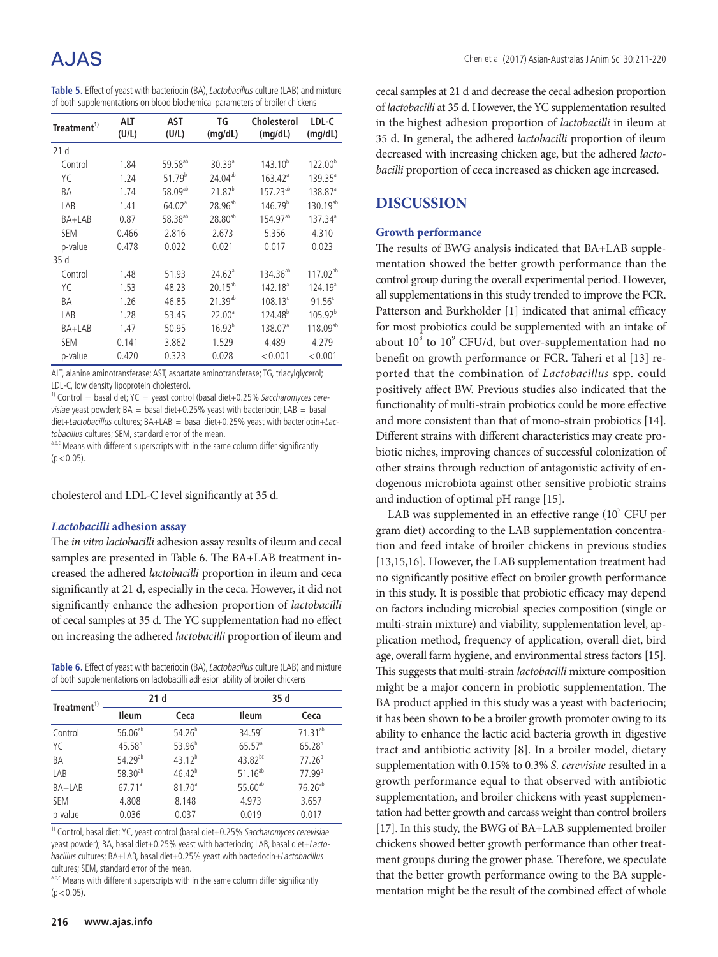# A.IAS

| Table 5. Effect of yeast with bacteriocin (BA), Lactobacillus culture (LAB) and mixture |  |
|-----------------------------------------------------------------------------------------|--|
| of both supplementations on blood biochemical parameters of broiler chickens            |  |

| Treatment <sup>1)</sup> | ALT<br>(U/L) | AST<br>(U/L)        | TG<br>(mq/dL)      | Cholesterol<br>(mg/dL) | LDL-C<br>(mg/dL)    |
|-------------------------|--------------|---------------------|--------------------|------------------------|---------------------|
| 21 <sub>d</sub>         |              |                     |                    |                        |                     |
| Control                 | 1.84         | 59.58 <sup>ab</sup> | 30.39 <sup>a</sup> | $143.10^{b}$           | $122.00^{b}$        |
| YC                      | 1.24         | $51.79^{b}$         | 24.04ab            | $163.42^{\circ}$       | $139.35^{\circ}$    |
| ΒA                      | 1.74         | 58.09 <sup>ab</sup> | 21.87 <sup>b</sup> | $157.23^{ab}$          | 138.87 <sup>a</sup> |
| LAB                     | 1.41         | 64.02 <sup>a</sup>  | $28.96^{ab}$       | 146.79 <sup>b</sup>    | $130.19^{ab}$       |
| BA+LAB                  | 0.87         | 58.38 <sup>ab</sup> | $28.80^{ab}$       | $154.97^{ab}$          | 137.34 <sup>a</sup> |
| <b>SEM</b>              | 0.466        | 2.816               | 2.673              | 5.356                  | 4.310               |
| p-value                 | 0.478        | 0.022               | 0.021              | 0.017                  | 0.023               |
| 35d                     |              |                     |                    |                        |                     |
| Control                 | 1.48         | 51.93               | 24.62 <sup>a</sup> | $134.36^{ab}$          | $117.02^{ab}$       |
| YC                      | 1.53         | 48.23               | $20.15^{ab}$       | 142.18 <sup>a</sup>    | 124.19 <sup>a</sup> |
| ΒA                      | 1.26         | 46.85               | $21.39^{ab}$       | $108.13^c$             | $91.56^c$           |
| LAB                     | 1.28         | 53.45               | 22.00 <sup>a</sup> | 124.48 <sup>b</sup>    | $105.92^{b}$        |
| BA+LAB                  | 1.47         | 50.95               | 16.92 <sup>b</sup> | 138.07 <sup>a</sup>    | $118.09^{ab}$       |
| <b>SEM</b>              | 0.141        | 3.862               | 1.529              | 4.489                  | 4.279               |
| p-value                 | 0.420        | 0.323               | 0.028              | < 0.001                | < 0.001             |

ALT, alanine aminotransferase; AST, aspartate aminotransferase; TG, triacylglycerol; LDL-C, low density lipoprotein cholesterol.

<sup>1)</sup> Control = basal diet; YC = yeast control (basal diet+0.25% Saccharomyces cerevisiae yeast powder);  $BA = basal$  diet+0.25% yeast with bacteriocin;  $LAB = basal$ diet+Lactobacillus cultures;  $BA+LAB = basal$  diet+0.25% yeast with bacteriocin+Lactobacillus cultures; SEM, standard error of the mean.

a,b,c Means with different superscripts with in the same column differ significantly  $(p < 0.05)$ .

cholesterol and LDL-C level significantly at 35 d.

#### *Lactobacilli* **adhesion assay**

The *in vitro lactobacilli* adhesion assay results of ileum and cecal samples are presented in Table 6. The BA+LAB treatment increased the adhered *lactobacilli* proportion in ileum and ceca significantly at 21 d, especially in the ceca. However, it did not significantly enhance the adhesion proportion of *lactobacilli* of cecal samples at 35 d. The YC supplementation had no effect on increasing the adhered *lactobacilli* proportion of ileum and

**Table 6.** Effect of yeast with bacteriocin (BA), *Lactobacillus* culture (LAB) and mixture of both supplementations on lactobacilli adhesion ability of broiler chickens

|                         |                      | 21d                |                      | 35 d                 |
|-------------------------|----------------------|--------------------|----------------------|----------------------|
| Treatment <sup>1)</sup> | <b>Ileum</b>         | Ceca               | <b>Ileum</b>         | Ceca                 |
| Control                 | $56.06^{ab}$         | $54.26^{b}$        | 34.59 <sup>c</sup>   | $71.31^{ab}$         |
| YC                      | $45.58^{b}$          | $53.96^{b}$        | $65.57$ <sup>a</sup> | $65.28^{b}$          |
| BA                      | 54.29 <sup>ab</sup>  | $43.12^{b}$        | $43.82^{bc}$         | 77.26 <sup>a</sup>   |
| LAB                     | 58.30 $^{ab}$        | $46.42^{b}$        | $51.16^{ab}$         | $77.99$ <sup>a</sup> |
| BA+LAB                  | $67.71$ <sup>a</sup> | 81.70 <sup>a</sup> | $55.60^{ab}$         | 76.26 <sup>ab</sup>  |
| <b>SEM</b>              | 4.808                | 8.148              | 4.973                | 3.657                |
| p-value                 | 0.036                | 0.037              | 0.019                | 0.017                |

<sup>1)</sup> Control, basal diet; YC, yeast control (basal diet+0.25% Saccharomyces cerevisiae yeast powder); BA, basal diet+0.25% yeast with bacteriocin; LAB, basal diet+Lactobacillus cultures; BA+LAB, basal diet+0.25% yeast with bacteriocin+Lactobacillus cultures; SEM, standard error of the mean.

a,b,c Means with different superscripts with in the same column differ significantly  $(p < 0.05)$ .

cecal samples at 21 d and decrease the cecal adhesion proportion of *lactobacilli* at 35 d. However, the YC supplementation resulted in the highest adhesion proportion of *lactobacilli* in ileum at 35 d. In general, the adhered *lactobacilli* proportion of ileum decreased with increasing chicken age, but the adhered *lactobacilli* proportion of ceca increased as chicken age increased.

## **DISCUSSION**

### **Growth performance**

The results of BWG analysis indicated that BA+LAB supplementation showed the better growth performance than the control group during the overall experimental period. However, all supplementations in this study trended to improve the FCR. Patterson and Burkholder [1] indicated that animal efficacy for most probiotics could be supplemented with an intake of about  $10^8$  to  $10^9$  CFU/d, but over-supplementation had no benefit on growth performance or FCR. Taheri et al [13] reported that the combination of *Lactobacillus* spp. could positively affect BW. Previous studies also indicated that the functionality of multi-strain probiotics could be more effective and more consistent than that of mono-strain probiotics [14]. Different strains with different characteristics may create probiotic niches, improving chances of successful colonization of other strains through reduction of antagonistic activity of endogenous microbiota against other sensitive probiotic strains and induction of optimal pH range [15].

LAB was supplemented in an effective range  $(10^7 \text{ CFU per})$ gram diet) according to the LAB supplementation concentration and feed intake of broiler chickens in previous studies [13,15,16]. However, the LAB supplementation treatment had no significantly positive effect on broiler growth performance in this study. It is possible that probiotic efficacy may depend on factors including microbial species composition (single or multi-strain mixture) and viability, supplementation level, application method, frequency of application, overall diet, bird age, overall farm hygiene, and environmental stress factors [15]. This suggests that multi-strain *lactobacilli* mixture composition might be a major concern in probiotic supplementation. The BA product applied in this study was a yeast with bacteriocin; it has been shown to be a broiler growth promoter owing to its ability to enhance the lactic acid bacteria growth in digestive tract and antibiotic activity [8]. In a broiler model, dietary supplementation with 0.15% to 0.3% *S. cerevisiae* resulted in a growth performance equal to that observed with antibiotic supplementation, and broiler chickens with yeast supplementation had better growth and carcass weight than control broilers [17]. In this study, the BWG of BA+LAB supplemented broiler chickens showed better growth performance than other treatment groups during the grower phase. Therefore, we speculate that the better growth performance owing to the BA supplementation might be the result of the combined effect of whole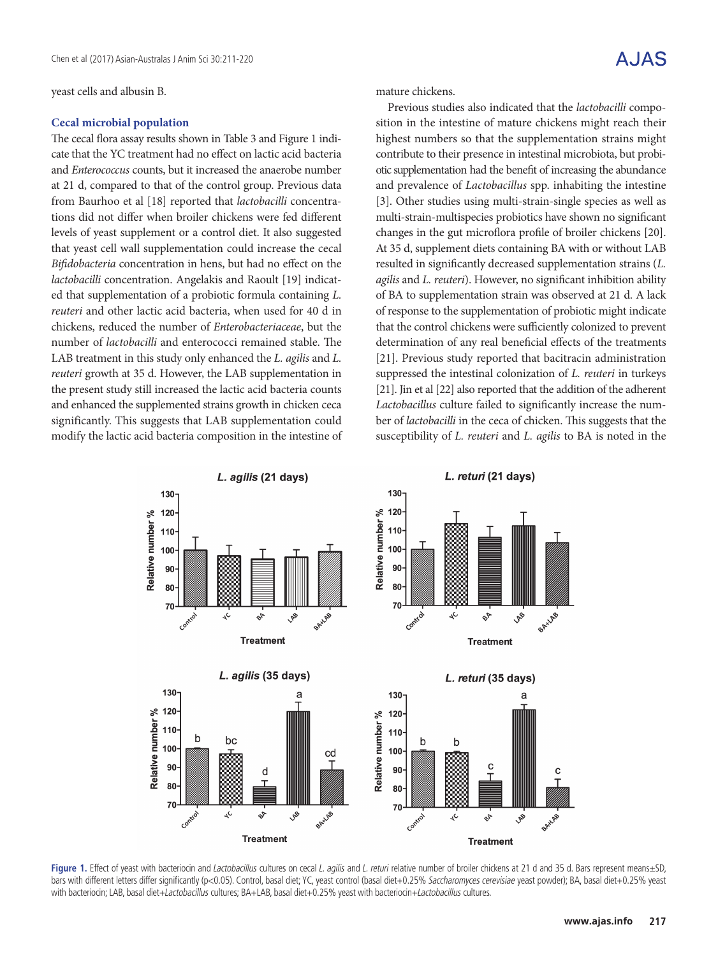yeast cells and albusin B.

#### **Cecal microbial population**

The cecal flora assay results shown in Table 3 and Figure 1 indicate that the YC treatment had no effect on lactic acid bacteria and *Enterococcus* counts, but it increased the anaerobe number at 21 d, compared to that of the control group. Previous data from Baurhoo et al [18] reported that *lactobacilli* concentrations did not differ when broiler chickens were fed different levels of yeast supplement or a control diet. It also suggested that yeast cell wall supplementation could increase the cecal *Bifidobacteria* concentration in hens, but had no effect on the *lactobacilli* concentration. Angelakis and Raoult [19] indicated that supplementation of a probiotic formula containing *L. reuteri* and other lactic acid bacteria, when used for 40 d in chickens, reduced the number of *Enterobacteriaceae*, but the number of *lactobacilli* and enterococci remained stable. The LAB treatment in this study only enhanced the *L. agilis* and *L. reuteri* growth at 35 d. However, the LAB supplementation in the present study still increased the lactic acid bacteria counts and enhanced the supplemented strains growth in chicken ceca significantly. This suggests that LAB supplementation could modify the lactic acid bacteria composition in the intestine of mature chickens.

Previous studies also indicated that the *lactobacilli* composition in the intestine of mature chickens might reach their highest numbers so that the supplementation strains might contribute to their presence in intestinal microbiota, but probiotic supplementation had the benefit of increasing the abundance and prevalence of *Lactobacillus* spp. inhabiting the intestine [3]. Other studies using multi-strain-single species as well as multi-strain-multispecies probiotics have shown no significant changes in the gut microflora profile of broiler chickens [20]. At 35 d, supplement diets containing BA with or without LAB resulted in significantly decreased supplementation strains (*L. agilis* and *L. reuteri*). However, no significant inhibition ability of BA to supplementation strain was observed at 21 d. A lack of response to the supplementation of probiotic might indicate that the control chickens were sufficiently colonized to prevent determination of any real beneficial effects of the treatments [21]. Previous study reported that bacitracin administration suppressed the intestinal colonization of *L. reuteri* in turkeys [21]. Jin et al [22] also reported that the addition of the adherent *Lactobacillus* culture failed to significantly increase the number of *lactobacilli* in the ceca of chicken. This suggests that the susceptibility of *L. reuteri* and *L. agilis* to BA is noted in the



Figure 1. Effect of yeast with bacteriocin and Lactobacillus cultures on cecal L. agilis and L. returi relative number of broiler chickens at 21 d and 35 d. Bars represent means±SD, bars with different letters differ significantly (p<0.05). Control, basal diet; YC, yeast control (basal diet+0.25% Saccharomyces cerevisiae yeast powder); BA, basal diet+0.25% yeast with bacteriocin; LAB, basal diet+Lactobacillus cultures; BA+LAB, basal diet+0.25% yeast with bacteriocin+Lactobacillus cultures.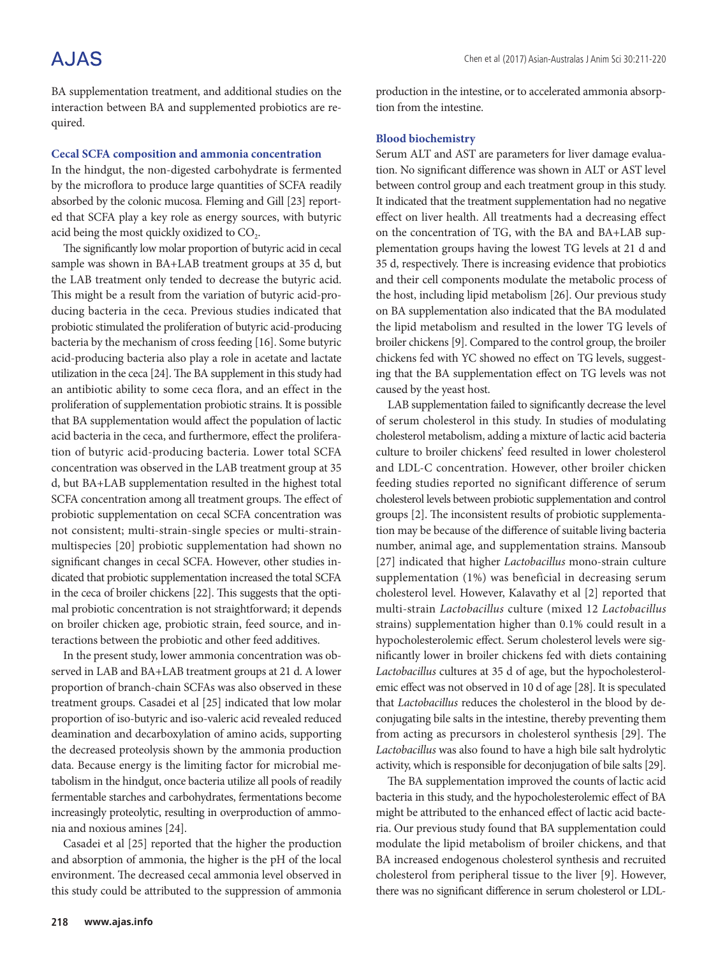# A.JAS

BA supplementation treatment, and additional studies on the interaction between BA and supplemented probiotics are required.

#### **Cecal SCFA composition and ammonia concentration**

In the hindgut, the non-digested carbohydrate is fermented by the microflora to produce large quantities of SCFA readily absorbed by the colonic mucosa. Fleming and Gill [23] reported that SCFA play a key role as energy sources, with butyric acid being the most quickly oxidized to CO<sub>2</sub>.

The significantly low molar proportion of butyric acid in cecal sample was shown in BA+LAB treatment groups at 35 d, but the LAB treatment only tended to decrease the butyric acid. This might be a result from the variation of butyric acid-producing bacteria in the ceca. Previous studies indicated that probiotic stimulated the proliferation of butyric acid-producing bacteria by the mechanism of cross feeding [16]. Some butyric acid-producing bacteria also play a role in acetate and lactate utilization in the ceca [24]. The BA supplement in this study had an antibiotic ability to some ceca flora, and an effect in the proliferation of supplementation probiotic strains. It is possible that BA supplementation would affect the population of lactic acid bacteria in the ceca, and furthermore, effect the proliferation of butyric acid-producing bacteria. Lower total SCFA concentration was observed in the LAB treatment group at 35 d, but BA+LAB supplementation resulted in the highest total SCFA concentration among all treatment groups. The effect of probiotic supplementation on cecal SCFA concentration was not consistent; multi-strain-single species or multi-strainmultispecies [20] probiotic supplementation had shown no significant changes in cecal SCFA. However, other studies indicated that probiotic supplementation increased the total SCFA in the ceca of broiler chickens [22]. This suggests that the optimal probiotic concentration is not straightforward; it depends on broiler chicken age, probiotic strain, feed source, and interactions between the probiotic and other feed additives.

In the present study, lower ammonia concentration was observed in LAB and BA+LAB treatment groups at 21 d. A lower proportion of branch-chain SCFAs was also observed in these treatment groups. Casadei et al [25] indicated that low molar proportion of iso-butyric and iso-valeric acid revealed reduced deamination and decarboxylation of amino acids, supporting the decreased proteolysis shown by the ammonia production data. Because energy is the limiting factor for microbial metabolism in the hindgut, once bacteria utilize all pools of readily fermentable starches and carbohydrates, fermentations become increasingly proteolytic, resulting in overproduction of ammonia and noxious amines [24].

Casadei et al [25] reported that the higher the production and absorption of ammonia, the higher is the pH of the local environment. The decreased cecal ammonia level observed in this study could be attributed to the suppression of ammonia production in the intestine, or to accelerated ammonia absorption from the intestine.

#### **Blood biochemistry**

Serum ALT and AST are parameters for liver damage evaluation. No significant difference was shown in ALT or AST level between control group and each treatment group in this study. It indicated that the treatment supplementation had no negative effect on liver health. All treatments had a decreasing effect on the concentration of TG, with the BA and BA+LAB supplementation groups having the lowest TG levels at 21 d and 35 d, respectively. There is increasing evidence that probiotics and their cell components modulate the metabolic process of the host, including lipid metabolism [26]. Our previous study on BA supplementation also indicated that the BA modulated the lipid metabolism and resulted in the lower TG levels of broiler chickens [9]. Compared to the control group, the broiler chickens fed with YC showed no effect on TG levels, suggesting that the BA supplementation effect on TG levels was not caused by the yeast host.

LAB supplementation failed to significantly decrease the level of serum cholesterol in this study. In studies of modulating cholesterol metabolism, adding a mixture of lactic acid bacteria culture to broiler chickens' feed resulted in lower cholesterol and LDL-C concentration. However, other broiler chicken feeding studies reported no significant difference of serum cholesterol levels between probiotic supplementation and control groups [2]. The inconsistent results of probiotic supplementation may be because of the difference of suitable living bacteria number, animal age, and supplementation strains. Mansoub [27] indicated that higher *Lactobacillus* mono-strain culture supplementation (1%) was beneficial in decreasing serum cholesterol level. However, Kalavathy et al [2] reported that multi-strain *Lactobacillus* culture (mixed 12 *Lactobacillus* strains) supplementation higher than 0.1% could result in a hypocholesterolemic effect. Serum cholesterol levels were significantly lower in broiler chickens fed with diets containing *Lactobacillus* cultures at 35 d of age, but the hypocholesterolemic effect was not observed in 10 d of age [28]. It is speculated that *Lactobacillus* reduces the cholesterol in the blood by deconjugating bile salts in the intestine, thereby preventing them from acting as precursors in cholesterol synthesis [29]. The *Lactobacillus* was also found to have a high bile salt hydrolytic activity, which is responsible for deconjugation of bile salts [29].

The BA supplementation improved the counts of lactic acid bacteria in this study, and the hypocholesterolemic effect of BA might be attributed to the enhanced effect of lactic acid bacteria. Our previous study found that BA supplementation could modulate the lipid metabolism of broiler chickens, and that BA increased endogenous cholesterol synthesis and recruited cholesterol from peripheral tissue to the liver [9]. However, there was no significant difference in serum cholesterol or LDL-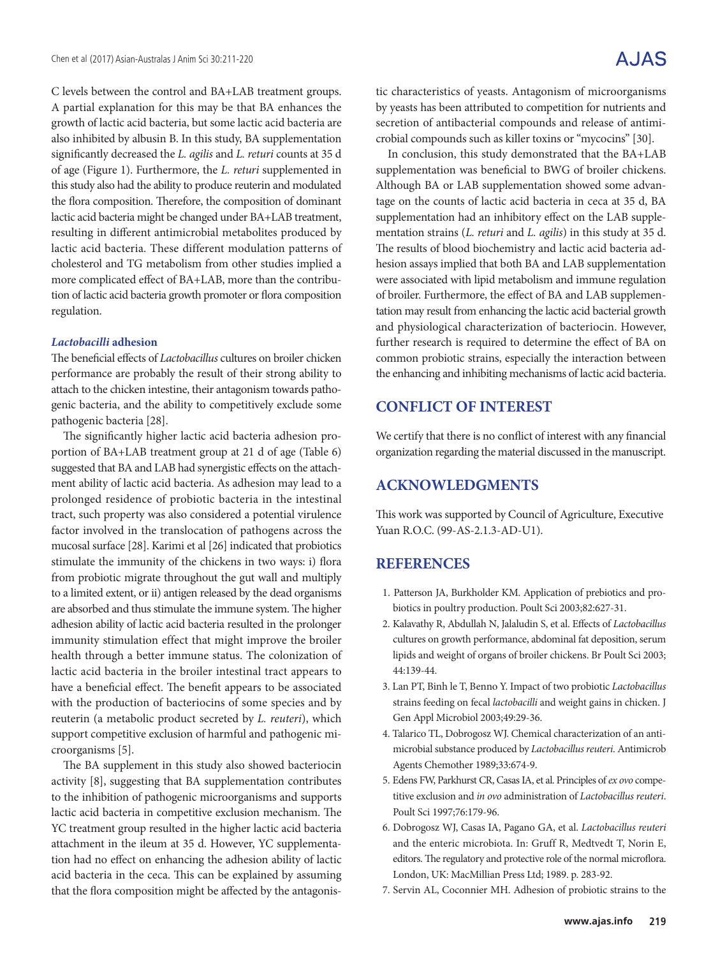C levels between the control and BA+LAB treatment groups. A partial explanation for this may be that BA enhances the growth of lactic acid bacteria, but some lactic acid bacteria are also inhibited by albusin B. In this study, BA supplementation significantly decreased the *L. agilis* and *L. returi* counts at 35 d of age (Figure 1). Furthermore, the *L. returi* supplemented in this study also had the ability to produce reuterin and modulated the flora composition. Therefore, the composition of dominant lactic acid bacteria might be changed under BA+LAB treatment, resulting in different antimicrobial metabolites produced by lactic acid bacteria. These different modulation patterns of cholesterol and TG metabolism from other studies implied a more complicated effect of BA+LAB, more than the contribution of lactic acid bacteria growth promoter or flora composition regulation.

### *Lactobacilli* **adhesion**

The beneficial effects of *Lactobacillus* cultures on broiler chicken performance are probably the result of their strong ability to attach to the chicken intestine, their antagonism towards pathogenic bacteria, and the ability to competitively exclude some pathogenic bacteria [28].

The significantly higher lactic acid bacteria adhesion proportion of BA+LAB treatment group at 21 d of age (Table 6) suggested that BA and LAB had synergistic effects on the attachment ability of lactic acid bacteria. As adhesion may lead to a prolonged residence of probiotic bacteria in the intestinal tract, such property was also considered a potential virulence factor involved in the translocation of pathogens across the mucosal surface [28]. Karimi et al [26] indicated that probiotics stimulate the immunity of the chickens in two ways: i) flora from probiotic migrate throughout the gut wall and multiply to a limited extent, or ii) antigen released by the dead organisms are absorbed and thus stimulate the immune system. The higher adhesion ability of lactic acid bacteria resulted in the prolonger immunity stimulation effect that might improve the broiler health through a better immune status. The colonization of lactic acid bacteria in the broiler intestinal tract appears to have a beneficial effect. The benefit appears to be associated with the production of bacteriocins of some species and by reuterin (a metabolic product secreted by *L. reuteri*), which support competitive exclusion of harmful and pathogenic microorganisms [5].

The BA supplement in this study also showed bacteriocin activity [8], suggesting that BA supplementation contributes to the inhibition of pathogenic microorganisms and supports lactic acid bacteria in competitive exclusion mechanism. The YC treatment group resulted in the higher lactic acid bacteria attachment in the ileum at 35 d. However, YC supplementation had no effect on enhancing the adhesion ability of lactic acid bacteria in the ceca. This can be explained by assuming that the flora composition might be affected by the antagonistic characteristics of yeasts. Antagonism of microorganisms by yeasts has been attributed to competition for nutrients and secretion of antibacterial compounds and release of antimicrobial compounds such as killer toxins or "mycocins" [30].

In conclusion, this study demonstrated that the BA+LAB supplementation was beneficial to BWG of broiler chickens. Although BA or LAB supplementation showed some advantage on the counts of lactic acid bacteria in ceca at 35 d, BA supplementation had an inhibitory effect on the LAB supplementation strains (*L. returi* and *L. agilis*) in this study at 35 d. The results of blood biochemistry and lactic acid bacteria adhesion assays implied that both BA and LAB supplementation were associated with lipid metabolism and immune regulation of broiler. Furthermore, the effect of BA and LAB supplementation may result from enhancing the lactic acid bacterial growth and physiological characterization of bacteriocin. However, further research is required to determine the effect of BA on common probiotic strains, especially the interaction between the enhancing and inhibiting mechanisms of lactic acid bacteria.

# **CONFLICT OF INTEREST**

We certify that there is no conflict of interest with any financial organization regarding the material discussed in the manuscript.

## **ACKNOWLEDGMENTS**

This work was supported by Council of Agriculture, Executive Yuan R.O.C. (99-AS-2.1.3-AD-U1).

## **REFERENCES**

- 1. Patterson JA, Burkholder KM. Application of prebiotics and probiotics in poultry production. Poult Sci 2003;82:627-31.
- 2. Kalavathy R, Abdullah N, Jalaludin S, et al. Effects of *Lactobacillus* cultures on growth performance, abdominal fat deposition, serum lipids and weight of organs of broiler chickens. Br Poult Sci 2003; 44:139-44.
- 3. Lan PT, Binh le T, Benno Y. Impact of two probiotic *Lactobacillus* strains feeding on fecal *lactobacilli* and weight gains in chicken. J Gen Appl Microbiol 2003;49:29-36.
- 4. Talarico TL, Dobrogosz WJ. Chemical characterization of an antimicrobial substance produced by *Lactobacillus reuteri*. Antimicrob Agents Chemother 1989;33:674-9.
- 5. Edens FW, Parkhurst CR, Casas IA, et al. Principles of *ex ovo* competitive exclusion and *in ovo* administration of *Lactobacillus reuteri*. Poult Sci 1997;76:179-96.
- 6. Dobrogosz WJ, Casas IA, Pagano GA, et al. *Lactobacillus reuteri* and the enteric microbiota. In: Gruff R, Medtvedt T, Norin E, editors. The regulatory and protective role of the normal microflora. London, UK: MacMillian Press Ltd; 1989. p. 283-92.
- 7. Servin AL, Coconnier MH. Adhesion of probiotic strains to the